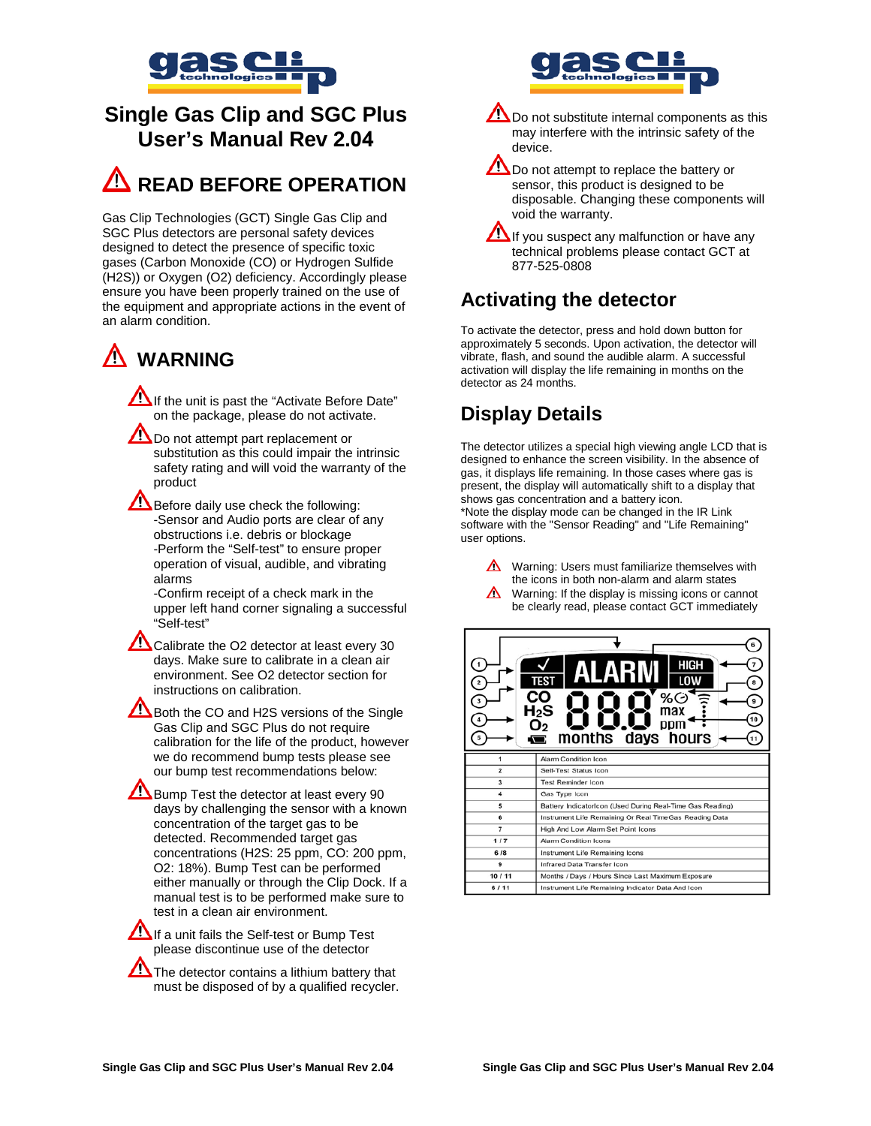

# **Single Gas Clip and SGC Plus User's Manual Rev 2.04**

# **A** READ BEFORE OPERATION

Gas Clip Technologies (GCT) Single Gas Clip and SGC Plus detectors are personal safety devices designed to detect the presence of specific toxic gases (Carbon Monoxide (CO) or Hydrogen Sulfide (H2S)) or Oxygen (O2) deficiency. Accordingly please ensure you have been properly trained on the use of the equipment and appropriate actions in the event of an alarm condition.

# **WARNING**

If the unit is past the "Activate Before Date" on the package, please do not activate.

Do not attempt part replacement or substitution as this could impair the intrinsic safety rating and will void the warranty of the product

Before daily use check the following: -Sensor and Audio ports are clear of any obstructions i.e. debris or blockage -Perform the "Self-test" to ensure proper operation of visual, audible, and vibrating alarms

-Confirm receipt of a check mark in the upper left hand corner signaling a successful "Self-test"

Calibrate the O2 detector at least every 30 days. Make sure to calibrate in a clean air environment. See O2 detector section for instructions on calibration.

Both the CO and H2S versions of the Single Gas Clip and SGC Plus do not require calibration for the life of the product, however we do recommend bump tests please see our bump test recommendations below:

Bump Test the detector at least every 90 days by challenging the sensor with a known concentration of the target gas to be detected. Recommended target gas concentrations (H2S: 25 ppm, CO: 200 ppm, O2: 18%). Bump Test can be performed either manually or through the Clip Dock. If a manual test is to be performed make sure to test in a clean air environment.

If a unit fails the Self-test or Bump Test please discontinue use of the detector

 $\sum$  The detector contains a lithium battery that must be disposed of by a qualified recycler.



- **AD** Do not substitute internal components as this may interfere with the intrinsic safety of the device.
- Do not attempt to replace the battery or sensor, this product is designed to be disposable. Changing these components will void the warranty.
- If you suspect any malfunction or have any technical problems please contact GCT at 877-525-0808

# **Activating the detector**

To activate the detector, press and hold down button for approximately 5 seconds. Upon activation, the detector will vibrate, flash, and sound the audible alarm. A successful activation will display the life remaining in months on the detector as 24 months.

# **Display Details**

The detector utilizes a special high viewing angle LCD that is designed to enhance the screen visibility. In the absence of gas, it displays life remaining. In those cases where gas is present, the display will automatically shift to a display that shows gas concentration and a battery icon. \*Note the display mode can be changed in the IR Link software with the "Sensor Reading" and "Life Remaining" user options.

 $\triangle$  Warning: Users must familiarize themselves with the icons in both non-alarm and alarm states

Warning: If the display is missing icons or cannot be clearly read, please contact GCT immediately

| 1              | HIGH<br>TEST<br>%C<br>H2S<br>max<br>ppm<br>months days hours |  |
|----------------|--------------------------------------------------------------|--|
|                | Alarm Condition Icon                                         |  |
| $\overline{2}$ | Self-Test Status Icon                                        |  |
| 3              | <b>Test Reminder Icon</b>                                    |  |
| 4              | Gas Type Icon                                                |  |
| 5              | Battery IndicatorIcon (Used During Real-Time Gas Reading)    |  |
| 6              | Instrument Life Remaining Or Real TimeGas Reading Data       |  |
| 7              | High And Low Alarm Set Point Icons                           |  |
| 1/7            | Alarm Condition Icons                                        |  |
| 6/8            | Instrument Life Remaining Icons                              |  |
| 9              | Infrared Data Transfer Icon                                  |  |
| 10/11          | Months / Days / Hours Since Last Maximum Exposure            |  |
| 6/11           | Instrument Life Remaining Indicator Data And Icon            |  |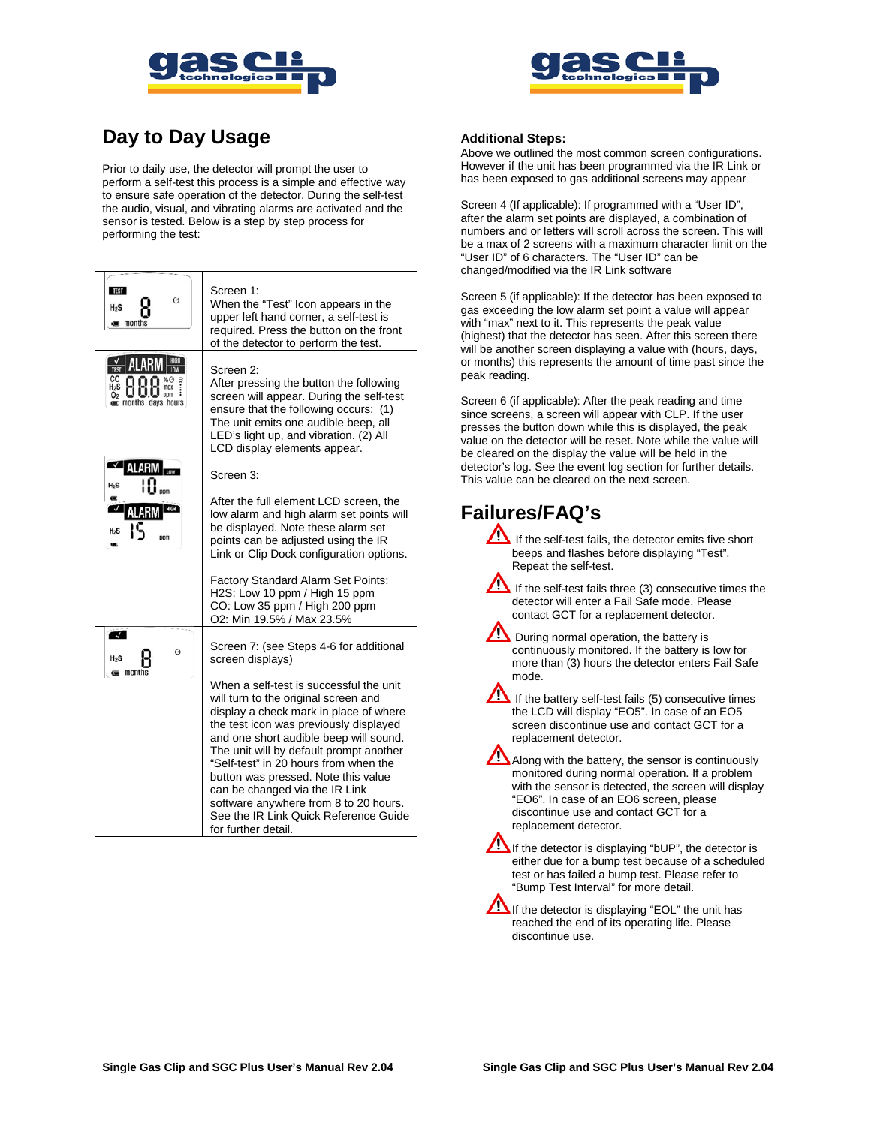



# **Day to Day Usage**

Prior to daily use, the detector will prompt the user to perform a self-test this process is a simple and effective way to ensure safe operation of the detector. During the self-test the audio, visual, and vibrating alarms are activated and the sensor is tested. Below is a step by step process for performing the test:

| <b>TEST</b><br>O<br>$H_2S$<br>$\equiv$ months           | Screen 1:<br>When the "Test" Icon appears in the<br>upper left hand corner, a self-test is<br>required. Press the button on the front<br>of the detector to perform the test.                                                                                                                                                                                                                                                                                                       |
|---------------------------------------------------------|-------------------------------------------------------------------------------------------------------------------------------------------------------------------------------------------------------------------------------------------------------------------------------------------------------------------------------------------------------------------------------------------------------------------------------------------------------------------------------------|
| ALARI<br>pom<br><b>E</b> months days hours              | Screen 2:<br>After pressing the button the following<br>screen will appear. During the self-test<br>ensure that the following occurs: (1)<br>The unit emits one audible beep, all<br>LED's light up, and vibration. (2) All<br>LCD display elements appear.                                                                                                                                                                                                                         |
| $\checkmark$<br>ALARM<br>$H_2S$                         | Screen 3:                                                                                                                                                                                                                                                                                                                                                                                                                                                                           |
|                                                         | After the full element LCD screen, the<br>low alarm and high alarm set points will<br>be displayed. Note these alarm set<br>points can be adjusted using the IR<br>Link or Clip Dock configuration options.                                                                                                                                                                                                                                                                         |
|                                                         | Factory Standard Alarm Set Points:<br>H2S: Low 10 ppm / High 15 ppm<br>CO: Low 35 ppm / High 200 ppm<br>O2: Min 19.5% / Max 23.5%                                                                                                                                                                                                                                                                                                                                                   |
| $\overline{\mathcal{J}}$<br>Ó<br>H2S<br><b>c</b> months | Screen 7: (see Steps 4-6 for additional<br>screen displays)                                                                                                                                                                                                                                                                                                                                                                                                                         |
|                                                         | When a self-test is successful the unit<br>will turn to the original screen and<br>display a check mark in place of where<br>the test icon was previously displayed<br>and one short audible beep will sound.<br>The unit will by default prompt another<br>"Self-test" in 20 hours from when the<br>button was pressed. Note this value<br>can be changed via the IR Link<br>software anywhere from 8 to 20 hours.<br>See the IR Link Quick Reference Guide<br>for further detail. |

#### **Additional Steps:**

Above we outlined the most common screen configurations. However if the unit has been programmed via the IR Link or has been exposed to gas additional screens may appear

Screen 4 (If applicable): If programmed with a "User ID", after the alarm set points are displayed, a combination of numbers and or letters will scroll across the screen. This will be a max of 2 screens with a maximum character limit on the "User ID" of 6 characters. The "User ID" can be changed/modified via the IR Link software

Screen 5 (if applicable): If the detector has been exposed to gas exceeding the low alarm set point a value will appear with "max" next to it. This represents the peak value (highest) that the detector has seen. After this screen there will be another screen displaying a value with (hours, days, or months) this represents the amount of time past since the peak reading.

Screen 6 (if applicable): After the peak reading and time since screens, a screen will appear with CLP. If the user presses the button down while this is displayed, the peak value on the detector will be reset. Note while the value will be cleared on the display the value will be held in the detector's log. See the event log section for further details. This value can be cleared on the next screen.

## **Failures/FAQ's**

If the self-test fails, the detector emits five short beeps and flashes before displaying "Test". Repeat the self-test.

Æ If the self-test fails three  $(3)$  consecutive times the detector will enter a Fail Safe mode. Please contact GCT for a replacement detector.

During normal operation, the battery is continuously monitored. If the battery is low for more than (3) hours the detector enters Fail Safe mode.

If the battery self-test fails (5) consecutive times the LCD will display "EO5". In case of an EO5 screen discontinue use and contact GCT for a replacement detector.

Along with the battery, the sensor is continuously monitored during normal operation. If a problem with the sensor is detected, the screen will display "EO6". In case of an EO6 screen, please discontinue use and contact GCT for a replacement detector.

If the detector is displaying "bUP", the detector is either due for a bump test because of a scheduled test or has failed a bump test. Please refer to "Bump Test Interval" for more detail.

If the detector is displaying "EOL" the unit has reached the end of its operating life. Please discontinue use.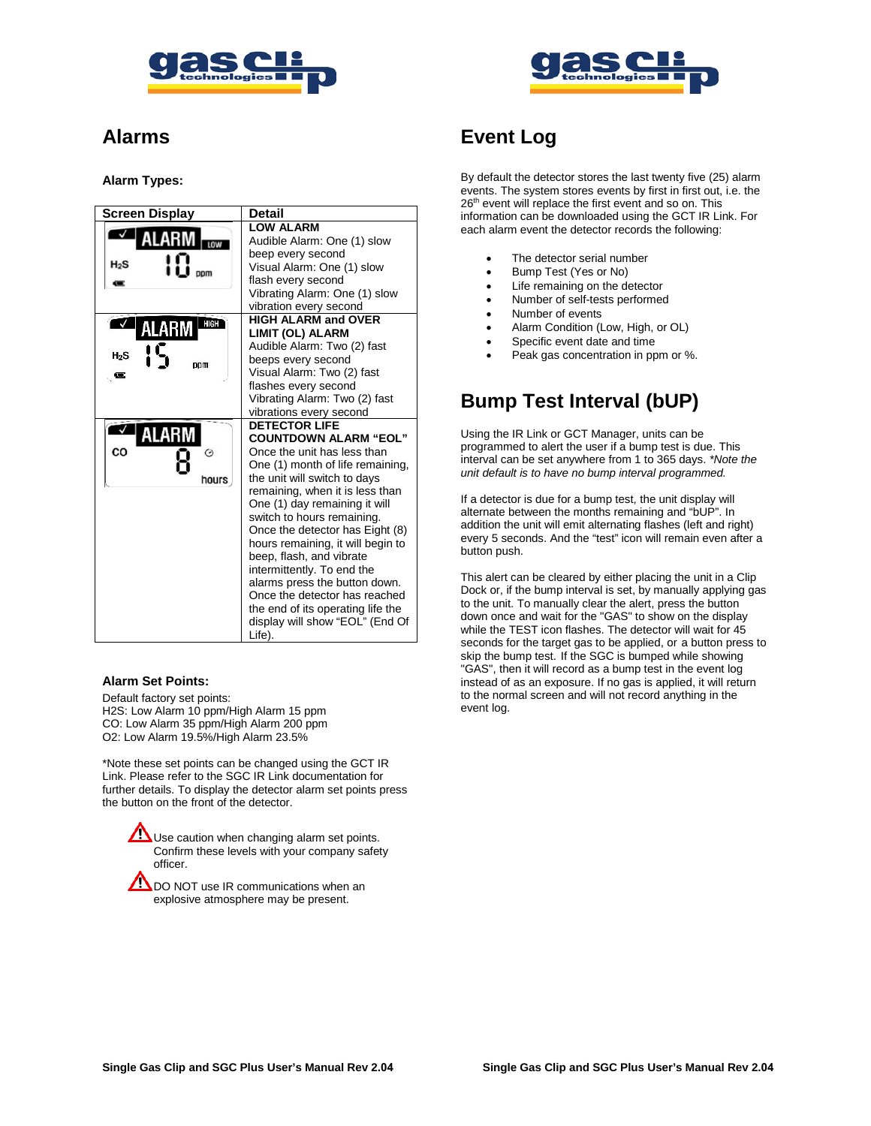



### **Alarms**

#### **Alarm Types:**

| <b>Screen Display</b>          | Detail                                                                                                                                                                                                                                                                                                                                                                                                                                                                                                                                          |
|--------------------------------|-------------------------------------------------------------------------------------------------------------------------------------------------------------------------------------------------------------------------------------------------------------------------------------------------------------------------------------------------------------------------------------------------------------------------------------------------------------------------------------------------------------------------------------------------|
| $H_2S$<br>ppm                  | <b>LOW ALARM</b><br>Audible Alarm: One (1) slow<br>beep every second<br>Visual Alarm: One (1) slow<br>flash every second<br>Vibrating Alarm: One (1) slow<br>vibration every second                                                                                                                                                                                                                                                                                                                                                             |
| HIGH<br>ALARM<br>$H_2S$<br>ppm | <b>HIGH ALARM and OVER</b><br>LIMIT (OL) ALARM<br>Audible Alarm: Two (2) fast<br>beeps every second<br>Visual Alarm: Two (2) fast<br>flashes every second<br>Vibrating Alarm: Two (2) fast<br>vibrations every second                                                                                                                                                                                                                                                                                                                           |
| ALARM<br>CO<br>⊖<br>hours      | <b>DETECTOR LIFE</b><br><b>COUNTDOWN ALARM "EOL"</b><br>Once the unit has less than<br>One (1) month of life remaining,<br>the unit will switch to days<br>remaining, when it is less than<br>One (1) day remaining it will<br>switch to hours remaining.<br>Once the detector has Eight (8)<br>hours remaining, it will begin to<br>beep, flash, and vibrate<br>intermittently. To end the<br>alarms press the button down.<br>Once the detector has reached<br>the end of its operating life the<br>display will show "EOL" (End Of<br>Life). |

#### **Alarm Set Points:**

Default factory set points: H2S: Low Alarm 10 ppm/High Alarm 15 ppm CO: Low Alarm 35 ppm/High Alarm 200 ppm O2: Low Alarm 19.5%/High Alarm 23.5%

\*Note these set points can be changed using the GCT IR Link. Please refer to the SGC IR Link documentation for further details. To display the detector alarm set points press the button on the front of the detector.

> Use caution when changing alarm set points. Confirm these levels with your company safety officer.

DO NOT use IR communications when an explosive atmosphere may be present.

### **Event Log**

By default the detector stores the last twenty five (25) alarm events. The system stores events by first in first out, i.e. the 26<sup>th</sup> event will replace the first event and so on. This information can be downloaded using the GCT IR Link. For each alarm event the detector records the following:

- The detector serial number
- Bump Test (Yes or No)
- Life remaining on the detector
- Number of self-tests performed
- Number of events
- Alarm Condition (Low, High, or OL)
- Specific event date and time
- Peak gas concentration in ppm or %.

### **Bump Test Interval (bUP)**

Using the IR Link or GCT Manager, units can be programmed to alert the user if a bump test is due. This interval can be set anywhere from 1 to 365 days. *\*Note the unit default is to have no bump interval programmed.*

If a detector is due for a bump test, the unit display will alternate between the months remaining and "bUP". In addition the unit will emit alternating flashes (left and right) every 5 seconds. And the "test" icon will remain even after a button push.

This alert can be cleared by either placing the unit in a Clip Dock or, if the bump interval is set, by manually applying gas to the unit. To manually clear the alert, press the button down once and wait for the "GAS" to show on the display while the TEST icon flashes. The detector will wait for 45 seconds for the target gas to be applied, or a button press to skip the bump test. If the SGC is bumped while showing "GAS", then it will record as a bump test in the event log instead of as an exposure. If no gas is applied, it will return to the normal screen and will not record anything in the event log.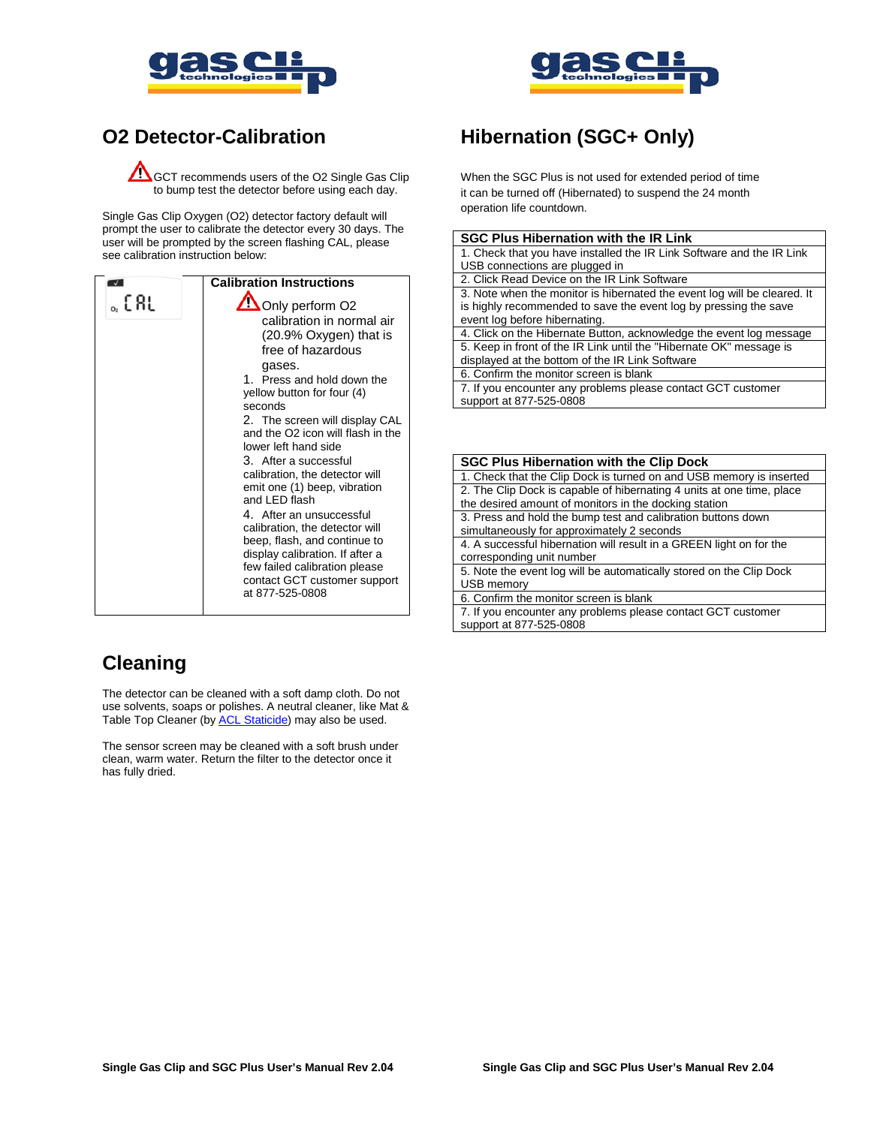



### **O2 Detector-Calibration**

**COM** GCT recommends users of the O2 Single Gas Clip to bump test the detector before using each day.

Single Gas Clip Oxygen (O2) detector factory default will prompt the user to calibrate the detector every 30 days. The user will be prompted by the screen flashing CAL, please see calibration instruction below:

|      | <b>Calibration Instructions</b>                                                                                                                                                                                                                                                                                                                                                                                                                                                                                                                                                                                    |
|------|--------------------------------------------------------------------------------------------------------------------------------------------------------------------------------------------------------------------------------------------------------------------------------------------------------------------------------------------------------------------------------------------------------------------------------------------------------------------------------------------------------------------------------------------------------------------------------------------------------------------|
| 。[RL | Only perform O2<br>calibration in normal air<br>$(20.9\% \, Oxygen)$ that is<br>free of hazardous<br>gases.<br>1. Press and hold down the<br>yellow button for four (4)<br>seconds<br>2. The screen will display CAL<br>and the O2 icon will flash in the<br>lower left hand side<br>3. After a successful<br>calibration, the detector will<br>emit one (1) beep, vibration<br>and LED flash<br>4. After an unsuccessful<br>calibration, the detector will<br>beep, flash, and continue to<br>display calibration. If after a<br>few failed calibration please<br>contact GCT customer support<br>at 877-525-0808 |

# **Cleaning**

The detector can be cleaned with a soft damp cloth. Do not use solvents, soaps or polishes. A neutral cleaner, like Mat & Table Top Cleaner (by [ACL Staticide\)](http://aclstaticide.com/) may also be used.

The sensor screen may be cleaned with a soft brush under clean, warm water. Return the filter to the detector once it has fully dried.

# **Hibernation (SGC+ Only)**

When the SGC Plus is not used for extended period of time it can be turned off (Hibernated) to suspend the 24 month operation life countdown.

| <b>SGC Plus Hibernation with the IR Link</b> |  |
|----------------------------------------------|--|
|----------------------------------------------|--|

1. Check that you have installed the IR Link Software and the IR Link USB connections are plugged in

- 2. Click Read Device on the IR Link Software
- 3. Note when the monitor is hibernated the event log will be cleared. It is highly recommended to save the event log by pressing the save event log before hibernating.

4. Click on the Hibernate Button, acknowledge the event log message

5. Keep in front of the IR Link until the "Hibernate OK" message is displayed at the bottom of the IR Link Software

6. Confirm the monitor screen is blank

7. If you encounter any problems please contact GCT customer support at 877-525-0808

| <b>SGC Plus Hibernation with the Clip Dock</b>                                                                                 |
|--------------------------------------------------------------------------------------------------------------------------------|
| 1. Check that the Clip Dock is turned on and USB memory is inserted                                                            |
| 2. The Clip Dock is capable of hibernating 4 units at one time, place<br>the desired amount of monitors in the docking station |
| 3. Press and hold the bump test and calibration buttons down                                                                   |
| simultaneously for approximately 2 seconds                                                                                     |
| 4. A successful hibernation will result in a GREEN light on for the                                                            |
| corresponding unit number                                                                                                      |
| 5. Note the event log will be automatically stored on the Clip Dock                                                            |
| USB memory                                                                                                                     |
| 6. Confirm the monitor screen is blank                                                                                         |
| 7. If you encounter any problems please contact GCT customer<br>support at 877-525-0808                                        |